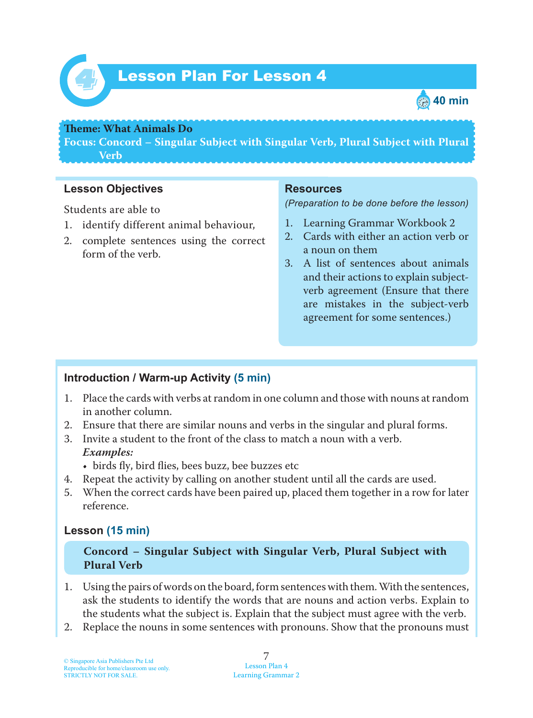

# *4* Lesson Plan For Lesson 4



#### **Theme: What Animals Do**

**Focus: Concord – Singular Subject with Singular Verb, Plural Subject with Plural Verb**

## **Lesson Objectives**

Students are able to

- 1. identify different animal behaviour,
- 2. complete sentences using the correct form of the verb.

#### **Resources**

*(Preparation to be done before the lesson)*

- 1. Learning Grammar Workbook 2
- 2. Cards with either an action verb or a noun on them
- 3. A list of sentences about animals and their actions to explain subjectverb agreement (Ensure that there are mistakes in the subject-verb agreement for some sentences.)

## **Introduction / Warm-up Activity (5 min)**

- 1. Place the cards with verbs at random in one column and those with nouns at random in another column.
- 2. Ensure that there are similar nouns and verbs in the singular and plural forms.
- 3. Invite a student to the front of the class to match a noun with a verb.  *Examples:*
	- birds fly, bird flies, bees buzz, bee buzzes etc
- 4. Repeat the activity by calling on another student until all the cards are used.
- 5. When the correct cards have been paired up, placed them together in a row for later reference.

## **Lesson (15 min)**

**Concord – Singular Subject with Singular Verb, Plural Subject with Plural Verb**

- 1. Using the pairs of words on the board, form sentences with them. With the sentences, ask the students to identify the words that are nouns and action verbs. Explain to the students what the subject is. Explain that the subject must agree with the verb.
- 2. Replace the nouns in some sentences with pronouns. Show that the pronouns must